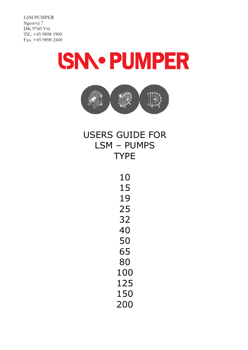LSM PUMPER Sigenvej 7 DK 9760 Vrå Tlf.: +45 9898 1900 Fax. +45 9898 2440

# **ISNN PUMPER**



# USERS GUIDE FOR LSM – PUMPS TYPE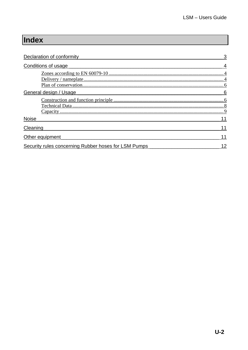# Index

| Declaration of conformity                            |  |
|------------------------------------------------------|--|
| Conditions of usage                                  |  |
|                                                      |  |
| General design / Usage                               |  |
| Capacity                                             |  |
| <b>Noise</b>                                         |  |
| Cleaning                                             |  |
| Other equipment                                      |  |
| Security rules concerning Rubber hoses for LSM Pumps |  |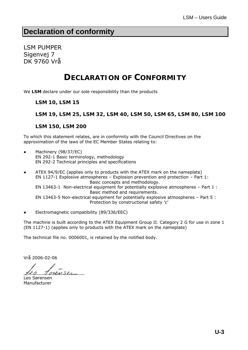## **Declaration of conformity**

LSM PUMPER Sigenvej 7 DK 9760 Vrå

# **DECLARATION OF CONFORMITY**

We **LSM** declare under our sole responsibility than the products

**LSM 10, LSM 15** 

**LSM 19, LSM 25, LSM 32, LSM 40, LSM 50, LSM 65, LSM 80, LSM 100** 

**LSM 150, LSM 200**

To which this statement relates, are in conformity with the Council Directives on the approximation of the laws of the EC Member States relating to:

- Machinery (98/37/EC) EN 292-1 Basic terminology, methodology EN 292-2 Technical principles and specifications
- ATEX 94/9/EC (applies only to products with the ATEX mark on the nameplate) EN 1127-1 Explosive atmospheres – Explosion prevention and protection – Part 1: Basic concepts and methodology. EN 13463-1 Non-electrical equipment for potentially explosive atmospheres – Part 1 : Basic method and requirements. EN 13463-5 Non-electrical equipment for potentially explosive atmospheres – Part 5 : Protection by constructional safety 'c'
- Electromagnetic compatibility (89/336/EEC)

The machine is built according to the ATEX Equipment Group II. Category 2 G for use in zone 1 (EN 1127-1) (applies only to products with the ATEX mark on the nameplate)

The technical file no. 0006001, is retained by the notified body.

Vrå 2006-02-06

 $RMSO_{\sim}$ 

Leo Sørensen Manufacturer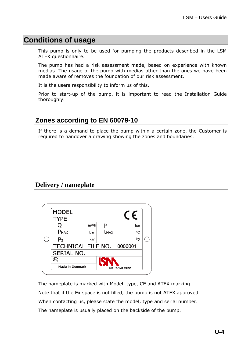# **Conditions of usage**

This pump is only to be used for pumping the products described in the LSM ATEX questionnaire.

The pump has had a risk assessment made, based on experience with known medias. The usage of the pump with medias other than the ones we have been made aware of removes the foundation of our risk assessment.

It is the users responsibility to inform us of this.

Prior to start-up of the pump, it is important to read the Installation Guide thoroughly.

## **Zones according to EN 60079-10**

If there is a demand to place the pump within a certain zone, the Customer is required to handover a drawing showing the zones and boundaries.

## **Delivery / nameplate**

| <b>MODEL</b>               |         |      | F            |
|----------------------------|---------|------|--------------|
| <b>TYPE</b>                |         |      |              |
|                            | $m^3/h$ |      | bar          |
| P <sub>MAX</sub>           | bar     | tmax | ۰c           |
| P <sub>2</sub>             | kW      |      | kg           |
| TECHNICAL FILE NO. 0006001 |         |      |              |
| SERIAL NO.                 |         |      |              |
|                            |         | ISNN |              |
| Made in Denmark            |         |      | DK-9760 Vraa |

The nameplate is marked with Model, type, CE and ATEX marking. Note that if the Ex space is not filled, the pump is not ATEX approved. When contacting us, please state the model, type and serial number. The nameplate is usually placed on the backside of the pump.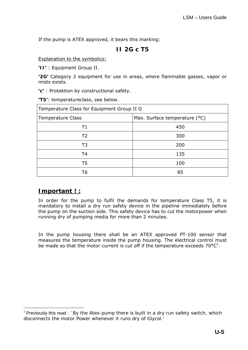If the pump is ATEX approved, it bears this marking:

## **II 2G c T5**

### Explanation to the symbolics:

**'II'** : Equipment Group II.

**'2G'** Category 2 equipment for use in areas, where flammable gasses, vapor or mists exists.

**'c'** : Protektion by constructional safety.

**'T5'**: temperatureclass, see below.

| Temperature Class for Equipment Group II G |                               |  |  |  |  |  |  |
|--------------------------------------------|-------------------------------|--|--|--|--|--|--|
| <b>Temperature Class</b>                   | Max. Surface temperature (°C) |  |  |  |  |  |  |
| Τ1                                         | 450                           |  |  |  |  |  |  |
| Τ2                                         | 300                           |  |  |  |  |  |  |
| T <sub>3</sub>                             | 200                           |  |  |  |  |  |  |
| T <sub>4</sub>                             | 135                           |  |  |  |  |  |  |
| T5                                         | 100                           |  |  |  |  |  |  |
| T6                                         | 85                            |  |  |  |  |  |  |

## **Important ! :**

 $\overline{a}$ 

In order for the pump to fulfil the demands for temperature Class T5, it is mandatory to install a dry run safety device in the pipeline immediately before the pump on the suction side. This safety device has to cut the motorpower when running dry of pumping media for more than 2 minutes.

In the pump housing there shall be an ATEX approved PT-100 sensor that measures the temperature inside the pump housing. The electrical control must be made so that the motor current is cut off if the temperature exceeds  $70^{\circ}C^{1}$ .

<sup>&</sup>lt;sup>1</sup> Previously this read : *´By the Atex-pump there is built in a dry run safety switch, which disconnects the motor Power whenever it runs dry of Glycol.'*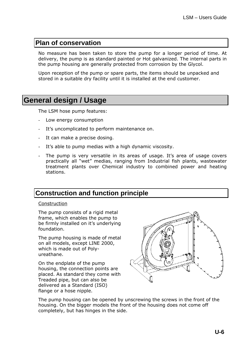## **Plan of conservation**

No measure has been taken to store the pump for a longer period of time. At delivery, the pump is as standard painted or Hot galvanized. The internal parts in the pump housing are generally protected from corrosion by the Glycol.

Upon reception of the pump or spare parts, the items should be unpacked and stored in a suitable dry facility until it is installed at the end customer.

# **General design / Usage**

The LSM hose pump features:

- Low energy consumption
- It's uncomplicated to perform maintenance on.
- It can make a precise dosing.
- It's able to pump medias with a high dynamic viscosity.
- The pump is very versatile in its areas of usage. It's area of usage covers practically all "wet" medias, ranging from Industrial fish plants, wastewater treatment plants over Chemical industry to combined power and heating stations.

## **Construction and function principle**

#### Construction

The pump consists of a rigid metal frame, which enables the pump to be firmly installed on it's underlying foundation.

The pump housing is made of metal on all models, except LINE 2000, which is made out of Polyureathane.

On the endplate of the pump housing, the connection points are placed. As standard they come with Treaded pipe, but can also be delivered as a Standard (ISO) flange or a hose nipple.



The pump housing can be opened by unscrewing the screws in the front of the housing. On the bigger models the front of the housing does not come off completely, but has hinges in the side.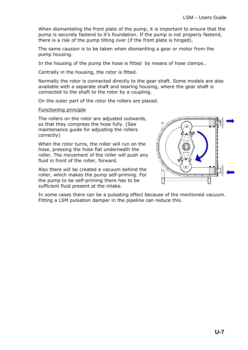When dismanteling the front plate of the pump, it is important to ensure that the pump is securely fastend to it's foundation. If the pump is not properly fastend, there is a risk of the pump tilting over (if the front plate is hinged).

The same causion is to be taken when dismantling a gear or motor from the pump housing.

In the housing of the pump the hose is fitted by means of hose clamps..

Centrally in the housing, the rotor is fitted.

Normally the rotor is connected directly to the gear shaft. Some models are also available with a separate shaft and bearing housing, where the gear shaft is connected to the shaft to the rotor by a coupling.

On the outer part of the rotor the rollers are placed.

Functioning principle

The rollers on the rotor are adjusted outwards, so that they compress the hose fully. (See maintenance quide for adjusting the rollers correctly)

When the rotor turns, the roller will run on the hose, pressing the hose flat underneath the roller. The movement of the roller will push any fluid in front of the roller, forward.

Also there will be created a vacuum behind the roller, which makes the pump self-priming. For the pump to be self-priming there has to be sufficient fluid present at the intake.



In some cases there can be a pulsating effect because of the mentioned vacuum. Fitting a LSM pulsation damper in the pipeline can reduce this.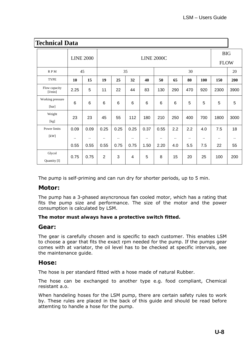| <b>Technical Data</b>     |        |                  |                 |                   |                |        |                 |     |             |     |            |      |  |
|---------------------------|--------|------------------|-----------------|-------------------|----------------|--------|-----------------|-----|-------------|-----|------------|------|--|
|                           |        | <b>LINE 2000</b> |                 | <b>LINE 2000C</b> |                |        |                 |     |             |     | <b>BIG</b> |      |  |
|                           |        |                  |                 |                   |                |        |                 |     | <b>FLOW</b> |     |            |      |  |
| <b>RPM</b>                |        | 45               | 35              |                   |                |        | 30              |     |             |     | 20         |      |  |
| <b>TYPE</b>               | 10     | 15               | 19              | 25                | 32             | 40     | 50              | 65  | 80          | 100 | 150        | 200  |  |
| Flow capacity<br>[1/min]  | 2.25   | 5                | 11              | 22                | 44             | 83     | 130             | 290 | 470         | 920 | 2300       | 3900 |  |
| Working pressure<br>[bar] | 6      | $6\phantom{1}6$  | $6\phantom{1}6$ | $6\phantom{1}6$   | 6              | 6      | $6\phantom{1}6$ | 6   | 5           | 5   | 5          | 5    |  |
| Weight<br>[kg]            | 23     | 23               | 45              | 55                | 112            | 180    | 210             | 250 | 400         | 700 | 1800       | 3000 |  |
| Power limits              | 0.09   | 0.09             | 0.25            | 0.25              | 0.25           | 0.37   | 0.55            | 2.2 | 2.2         | 4.0 | 7.5        | 18   |  |
| [kW]                      | $\sim$ | $\sim$           | $\sim$          | ٠.                | ٠.             | $\sim$ | ٠.              | ٠.  | $\sim$      | ٠.  | ٠.         | Ω.   |  |
|                           | 0.55   | 0.55             | 0.55            | 0.75              | 0.75           | 1.50   | 2.20            | 4.0 | 5.5         | 7.5 | 22         | 55   |  |
| Glycol<br>Quantity [1]    | 0.75   | 0.75             | $\overline{2}$  | 3                 | $\overline{4}$ | 5      | 8               | 15  | 20          | 25  | 100        | 200  |  |

The pump is self-priming and can run dry for shorter periods, up to 5 min.

## **Motor:**

The pump has a 3-phased asyncronous fan cooled motor, which has a rating that fits the pump size and performance. The size of the motor and the power consumption is calculated by LSM.

#### **The motor must always have a protective switch fitted.**

## **Gear:**

The gear is carefully chosen and is specific to each customer. This enables LSM to choose a gear that fits the exact rpm needed for the pump. If the pumps gear comes with at variator, the oil level has to be checked at specific intervals, see the maintenance guide.

## **Hose:**

The hose is per standard fitted with a hose made of natural Rubber.

The hose can be exchanged to another type e.g. food compliant, Chemical resistant a.o.

When handeling hoses for the LSM pump, there are certain safety rules to work by. These rules are placed in the back of this guide and should be read before attemting to handle a hose for the pump.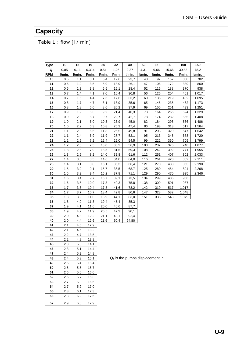# **Capacity**

Table 1 : flow [l / min]

| Type       | 10         | 15         | 19           | 25           | 32           | 40                                   | 50     | 65     | 80     | 100    | 150    |
|------------|------------|------------|--------------|--------------|--------------|--------------------------------------|--------|--------|--------|--------|--------|
| $Q_1$      | 0,05       | 0,11       | 0,314        | 0,54         | 1,26         | 2,37                                 | 4,31   | 9,66   | 15,66  | 30,83  | 78,2   |
| <b>RPM</b> | I/min.     | I/min.     | I/min.       | I/min.       | l/min.       | l/min.                               | l/min. | l/min. | l/min. | l/min. | I/min. |
| 10         | 0,5        | 1,1        | 3,1          | 5,4          | 12,6         | 23,7                                 | 43     | 97     | 157    | 308    | 782    |
| 11         | 0,6        | 1,2        | 3,5          | 5,9          | 13,9         | 26,1                                 | 47     | 106    | 172    | 339    | 860    |
| 12         | 0,6        | 1,3        | 3,8          | 6,5          | 15,1         | 28,4                                 | 52     | 116    | 188    | 370    | 938    |
| 13         | 0,7        | 1,4        | 4,1          | 7,0          | 16,4         | 30,8                                 | 56     | 126    | 204    | 401    | 1.017  |
| 14         | 0,7        | 1,5        | 4,4          | 7,6          | 17,6         | 33,2                                 | 60     | 135    | 219    | 432    | 1.095  |
| 15         | 0,8        | 1,7        | 4,7          | 8,1          | 18,9         | 35,6                                 | 65     | 145    | 235    | 462    | 1.173  |
| 16         | 0,8        | 1,8        | 5,0          | 8,6          | 20,2         | 37,9                                 | 69     | 155    | 251    | 493    | 1.251  |
| 17         | 0,9        | 1,9        | 5,3          | 9,2          | 21,4         | 40,3                                 | 73     | 164    | 266    | 524    | 1.329  |
| 18         | 0,9        | 2,0        | 5,7          | 9,7          | 22,7         | 42,7                                 | 78     | 174    | 282    | 555    | 1.408  |
| 19         | 1,0        | 2,1        | 6,0          | 10,3         | 23,9         | 45,0                                 | 82     | 184    | 298    | 586    | 1.486  |
| 20         | 1,0        | 2,2        | 6,3          | 10,8         | 25,2         | 47,4                                 | 86     | 193    | 313    | 617    | 1.564  |
| 21         | 1,1        | 2,3        | 6,6          | 11,3         | 26,5         | 49,8                                 | 91     | 203    | 329    | 647    | 1.642  |
| 22         | 1,1        | 2,4        | 6,9          | 11,9         | 27,7         | 52,1                                 | 95     | 213    | 345    | 678    | 1.720  |
| 23         | 1,2        | 2,5        | 7,2          | 12,4         | 29,0         | 54,5                                 | 99     | 222    | 360    | 709    | 1.799  |
| 24         | 1,2        | 2,6        | 7,5          | 13,0         | 30,2         | 56,9                                 | 103    | 232    | 376    | 740    | 1.877  |
| 25         | 1,3        | 2,8        | 7,9          | 13,5         | 31,5         | 59,3                                 | 108    | 242    | 392    | 771    | 1.955  |
| 26         | 1,3        | 2,9        | 8,2          | 14,0         | 32,8         | 61,6                                 | 112    | 251    | 407    | 802    | 2.033  |
| 27         | 1,4        | 3,0        | 8,5          | 14,6         | 34,0         | 64,0                                 | 116    | 261    | 423    | 832    | 2.111  |
| 28         | 1,4        | 3,1        | 8,8          | 15,1         | 35,3         | 66,4                                 | 121    | 270    | 438    | 863    | 2.190  |
| 29         | 1,5        | 3,2        | 9,1          | 15,7         | 36,5         | 68,7                                 | 125    | 280    | 454    | 894    | 2.268  |
| 30         | 1,5        | 3,3        | 9,4          | 16,2         | 37,8         | 71,1                                 | 129    | 290    | 470    | 925    | 2.346  |
| 31         | 1,6        | 3,4        | 9,7          | 16,7         | 39,1         | 73,5                                 | 134    | 299    | 485    | 956    |        |
| 32         | 1,6        | 3,5        | 10,0         | 17,3         | 40,3         | 75,8                                 | 138    | 309    | 501    | 987    |        |
| 33         | 1,7        | 3,6        | 10,4         | 17,8         | 41,6         | 78,2                                 | 142    | 319    | 517    | 1.017  |        |
| 34         | 1,7        | 3,7        | 10,7         | 18,4         | 42,8         | 80,6                                 | 147    | 328    | 532    | 1.048  |        |
| 35         | 1,8        | 3,9        | 11,0         | 18,9         | 44,1         | 83,0                                 | 151    | 338    | 548    | 1.079  |        |
| 36         | 1,8        | 4,0        | 11,3         | 19,4         | 45,4         | 85,3                                 |        |        |        |        |        |
| 37<br>38   | 1,9        | 4,1<br>4,2 | 11,6         | 20,0         | 46,6         | 87,7                                 |        |        |        |        |        |
| 39         | 1,9<br>2,0 | 4,3        | 11,9<br>12,2 | 20,5         | 47,9         | 90,1                                 |        |        |        |        |        |
| 40         | 2,0        | 4,4        |              | 21,1<br>21,6 | 49,1<br>50,4 | 92,4<br>94,80                        |        |        |        |        |        |
| 41         | 2,1        | 4,5        | 12,6<br>12,9 |              |              |                                      |        |        |        |        |        |
| 42         | 2,1        | 4,6        | 13,2         |              |              |                                      |        |        |        |        |        |
| 43         | 2,2        | 4,7        | 13,5         |              |              |                                      |        |        |        |        |        |
| 44         | 2,2        | 4,8        | 13,8         |              |              |                                      |        |        |        |        |        |
| 45         | 2,3        | 5,0        | 14,1         |              |              |                                      |        |        |        |        |        |
| 46         | 2,3        | 5,1        | 14,4         |              |              |                                      |        |        |        |        |        |
| 47         | 2,4        | 5,2        | 14,8         |              |              |                                      |        |        |        |        |        |
| 48         | 2,4        | 5,3        | 15,1         |              |              | $Q_1$ is the pumps displacement in I |        |        |        |        |        |
| 49         | 2,5        | 5,4        | 15,4         |              |              |                                      |        |        |        |        |        |
| 50         | 2,5        | 5,5        | 15,7         |              |              |                                      |        |        |        |        |        |
| 51         | 2,6        | 5,6        | 16,0         |              |              |                                      |        |        |        |        |        |
| 52         | 2,6        | 5,7        | 16,3         |              |              |                                      |        |        |        |        |        |
| 53         | 2,7        | 5,8        | 16,6         |              |              |                                      |        |        |        |        |        |
| 54         | 2,7        | 5,9        | 17,0         |              |              |                                      |        |        |        |        |        |
| 55         | 2,8        | 6,1        | 17,3         |              |              |                                      |        |        |        |        |        |
| 56         | 2,8        | 6,2        | 17,6         |              |              |                                      |        |        |        |        |        |
|            |            |            |              |              |              |                                      |        |        |        |        |        |
| 57         | 2,9        | 6,3        | 17,9         |              |              |                                      |        |        |        |        |        |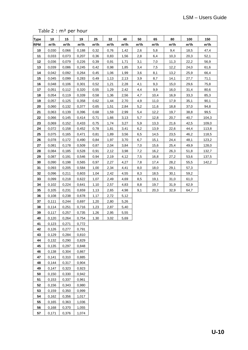Table 2 : m² per hour

| <b>Type</b> | 10                | 15                | 19                | 25                | 32                | 40                | 50                | 65                | 80                | 100               | 150               |
|-------------|-------------------|-------------------|-------------------|-------------------|-------------------|-------------------|-------------------|-------------------|-------------------|-------------------|-------------------|
| <b>RPM</b>  | m <sup>3</sup> /h | m <sup>3</sup> /h | m <sup>3</sup> /h | m <sup>3</sup> /h | m <sup>3</sup> /h | m <sup>3</sup> /h | m <sup>3</sup> /h | m <sup>3</sup> /h | m <sup>3</sup> /h | m <sup>3</sup> /h | m <sup>3</sup> /h |
| 10          | 0,030             | 0,066             | 0,188             | 0,32              | 0,76              | 1,42              | 2,6               | 5,8               | 9,4               | 18,5              | 47,4              |
| 11          | 0,033             | 0,073             | 0,207             | 0,36              | 0,83              | 1,56              | 2,8               | 6,4               | 10,3              | 20,3              | 52,1              |
| 12          | 0,036             | 0,079             | 0,226             | 0,39              | 0,91              | 1,71              | 3,1               | 7,0               | 11,3              | 22,2              | 56,9              |
| 13          | 0,039             | 0,086             | 0,245             | 0,42              | 0,98              | 1,85              | 3,4               | 7,5               | 12,2              | 24,0              | 61,6              |
| 14          | 0,042             | 0,092             | 0,264             | 0,45              | 1,06              | 1,99              | 3,6               | 8,1               | 13,2              | 25,9              | 66,4              |
| 15          | 0,045             | 0,099             | 0,283             | 0,49              | 1,13              | 2,13              | 3,9               | 8,7               | 14,1              | 27,7              | 71,1              |
| 16          | 0,048             | 0,106             | 0,301             | 0,52              | 1,21              | 2,28              | 4,1               | 9,3               | 15,0              | 29,6              | 75,8              |
| 17          | 0,051             | 0,112             | 0,320             | 0,55              | 1,29              | 2,42              | 4,4               | 9,9               | 16,0              | 31,4              | 80,6              |
| 18          | 0,054             | 0,119             | 0,339             | 0,58              | 1,36              | 2,56              | 4,7               | 10,4              | 16,9              | 33,3              | 85,3              |
| 19          | 0,057             | 0,125             | 0,358             | 0,62              | 1,44              | 2,70              | 4,9               | 11,0              | 17,9              | 35,1              | 90,1              |
| 20          | 0,060             | 0,132             | 0,377             | 0,65              | 1,51              | 2,84              | 5,2               | 11,6              | 18,8              | 37,0              | 94,8              |
| 21          | 0,063             | 0,139             | 0,396             | 0,68              | 1,59              | 2,99              | 5,4               | 12,2              | 19,7              | 38,8              | 99,5              |
| 22          | 0,066             | 0,145             | 0,414             | 0,71              | 1,66              | 3,13              | 5,7               | 12,8              | 20,7              | 40,7              | 104,3             |
| 23          | 0,069             | 0,152             | 0,433             | 0,75              | 1,74              | 3,27              | 5,9               | 13,3              | 21,6              | 42,5              | 109,0             |
| 24          | 0,072             | 0,158             | 0,452             | 0,78              | 1,81              | 3,41              | 6,2               | 13,9              | 22,6              | 44,4              | 113,8             |
| 25          | 0,075             | 0,165             | 0,471             | 0,81              | 1,89              | 3,56              | 6,5               | 14,5              | 23,5              | 46,2              | 118,5             |
| 26          | 0,078             | 0,172             | 0,490             | 0,84              | 1,97              | 3,70              | 6,7               | 15,1              | 24,4              | 48,1              | 123,2             |
| 27          | 0,081             | 0,178             | 0,509             | 0,87              | 2,04              | 3,84              | 7,0               | 15,6              | 25,4              | 49,9              | 128,0             |
| 28          | 0,084             | 0,185             | 0,528             | 0,91              | 2,12              | 3,98              | 7,2               | 16,2              | 26,3              | 51,8              | 132,7             |
| 29          | 0,087             | 0,191             | 0,546             | 0,94              | 2,19              | 4,12              | 7,5               | 16,8              | 27,2              | 53,6              | 137,5             |
| 30          | 0,090             | 0,198             | 0,565             | 0,97              | 2,27              | 4,27              | 7,8               | 17,4              | 28,2              | 55,5              | 142,2             |
| 31          | 0,093             | 0,205             | 0,584             | 1,00              | 2,34              | 4,41              | 8,0               | 18,0              | 29,1              | 57,3              |                   |
| 32          | 0,096             | 0,211             | 0,603             | 1,04              | 2,42              | 4,55              | 8,3               | 18,5              | 30,1              | 59,2              |                   |
| 33          | 0,099             | 0,218             | 0,622             | 1,07              | 2,49              | 4,69              | 8,5               | 19,1              | 31,0              | 61,0              |                   |
| 34          | 0,102             | 0,224             | 0,641             | 1,10              | 2,57              | 4,83              | 8,8               | 19,7              | 31,9              | 62,9              |                   |
| 35          | 0,105             | 0,231             | 0,659             | 1,13              | 2,65              | 4,98              | 9,1               | 20,3              | 32,9              | 64,7              |                   |
| 36          | 0,108             | 0,238             | 0,678             | 1,17              | 2,72              | 5,12              |                   |                   |                   |                   |                   |
| 37          | 0,111             | 0,244             | 0,697             | 1,20              | 2,80              | 5,26              |                   |                   |                   |                   |                   |
| 38          | 0,114             | 0,251             | 0,716             | 1,23              | 2,87              | 5,40              |                   |                   |                   |                   |                   |
| 39          | 0,117             | 0,257             | 0,735             | 1,26              | 2,95              | 5,55              |                   |                   |                   |                   |                   |
| 40          | 0,120             | 0,264             | 0,754             | 1,30              | 3,02              | 5,69              |                   |                   |                   |                   |                   |
| 41          | 0,123             | 0,271             | 0,772             |                   |                   |                   |                   |                   |                   |                   |                   |
| 42          | 0,126             | 0,277             | 0,791             |                   |                   |                   |                   |                   |                   |                   |                   |
| 43          | 0,129             | 0,284             | 0,810             |                   |                   |                   |                   |                   |                   |                   |                   |
| 44          | 0,132             | 0,290             | 0,829             |                   |                   |                   |                   |                   |                   |                   |                   |
| 45          | 0,135             | 0,297             | 0,848             |                   |                   |                   |                   |                   |                   |                   |                   |
| 46          | 0,138             | 0,304             | 0,867             |                   |                   |                   |                   |                   |                   |                   |                   |
| 47          | 0,141             | 0,310             | 0,885             |                   |                   |                   |                   |                   |                   |                   |                   |
| 48          | 0,144             | 0,317             | 0,904             |                   |                   |                   |                   |                   |                   |                   |                   |
| 49          | 0,147             | 0,323             | 0,923             |                   |                   |                   |                   |                   |                   |                   |                   |
| 50          | 0,150             | 0,330             | 0,942             |                   |                   |                   |                   |                   |                   |                   |                   |
| 51          | 0,153             | 0,337             | 0,961             |                   |                   |                   |                   |                   |                   |                   |                   |
| 52          | 0,156             | 0,343             | 0,980             |                   |                   |                   |                   |                   |                   |                   |                   |
| 53          | 0,159             | 0,350             | 0,999             |                   |                   |                   |                   |                   |                   |                   |                   |
| 54          | 0,162             | 0,356             | 1,017             |                   |                   |                   |                   |                   |                   |                   |                   |
| 55          | 0,165             | 0,363             | 1,036             |                   |                   |                   |                   |                   |                   |                   |                   |
| 56          | 0,168             | 0,370             | 1,055             |                   |                   |                   |                   |                   |                   |                   |                   |
| 57          | 0,171             | 0,376             | 1,074             |                   |                   |                   |                   |                   |                   |                   |                   |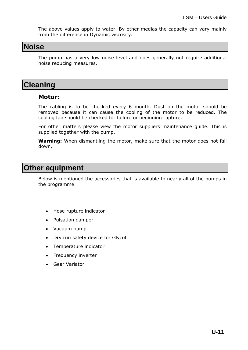The above values apply to water. By other medias the capacity can vary mainly from the difference in Dynamic viscosity.

## **Noise**

The pump has a very low noise level and does generally not require additional noise reducing measures.

## **Cleaning**

## **Motor:**

The cabling is to be checked every 6 month. Dust on the motor should be removed because it can cause the cooling of the motor to be reduced. The cooling fan should be checked for failure or beginning rupture.

For other matters please view the motor suppliers maintenance guide. This is supplied together with the pump.

**Warning:** When dismantling the motor, make sure that the motor does not fall down.

## **Other equipment**

Below is mentioned the accessories that is available to nearly all of the pumps in the programme.

- Hose rupture indicator
- Pulsation damper
- Vacuum pump.
- Dry run safety device for Glycol
- Temperature indicator
- Frequency inverter
- Gear Variator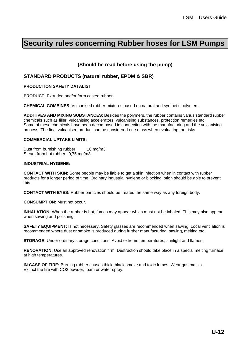# **Security rules concerning Rubber hoses for LSM Pumps**

## **(Should be read before using the pump)**

## **STANDARD PRODUCTS (natural rubber, EPDM & SBR)**

#### **PRODUCTION SAFETY DATALIST**

**PRODUCT:** Extruded and/or form casted rubber.

**CHEMICAL COMBINES**: Vulcanised rubber-mixtures based on natural and synthetic polymers.

**ADDITIVES AND MIXING SUBSTANCES**: Besides the polymers, the rubber contains varius standard rubber chemicals such as filler, vulcanising accelerators, vulcanising substances, protection remedies etc. Some of these chemicals have been decomposed in connection with the manufacturing and the vulcanising process. The final vulcanised product can be considered one mass when evaluating the risks.

#### **COMMERCIAL UPTAKE LIMITS:**

Dust from burnishing rubber 10 mg/m3 Steam from hot rubber 0,75 mg/m3

#### **INDUSTRIAL HYGIENE:**

**CONTACT WITH SKIN:** Some people may be liable to get a skin infection when in contact with rubber products for a longer period of time. Ordinary industrial hygiene or blocking lotion should be able to prevent this.

**CONTACT WITH EYES:** Rubber particles should be treated the same way as any foreign body.

**CONSUMPTION:** Must not occur.

**INHALATION:** When the rubber is hot, fumes may appear which must not be inhaled. This may also appear when sawing and polishing.

**SAFETY EQUIPMENT**: Is not necessary. Safety glasses are recommended when sawing. Local ventilation is recommended where dust or smoke is produced during further manufacturing, sawing, melting etc.

**STORAGE:** Under ordinary storage conditions. Avoid extreme temperatures, sunlight and flames.

**RENOVATION:** Use an approved renovation firm. Destruction should take place in a special melting furnace at high temperatures.

**IN CASE OF FIRE:** Burning rubber causes thick, black smoke and toxic fumes. Wear gas masks. Extinct the fire with CO2 powder, foam or water spray.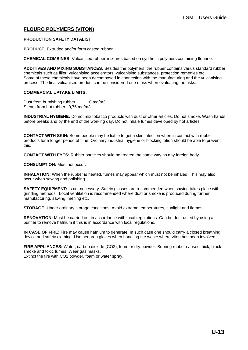## **FLOURO POLYMERS (VITON)**

#### **PRODUCTION SAFETY DATALIST**

**PRODUCT:** Extruded and/or form casted rubber.

**CHEMICAL COMBINES:** Vulcanised rubber-mixtures based on synthetic polymers containing flourine.

**ADDITIVES AND MIXING SUBSTANCES:** Besides the polymers, the rubber contains varius standard rubber chemicals such as filler, vulcanising accelerators, vulcanising substances, protection remedies etc. Some of these chemicals have been decomposed in connection with the manufacturing and the vulcanising process. The final vulcanised product can be considered one mass when evaluating the risks.

#### **COMMERCIAL UPTAKE LIMITS:**

Dust from burnishing rubber 10 mg/m3 Steam from hot rubber 0,75 mg/m3

**INDUSTRIAL HYGIENE:** Do not mix tobacco products with dust or other articles. Do not smoke. Wash hands before breaks and by the end of the working day. Do not inhale fumes developed by hot articles.

**CONTACT WITH SKIN:** Some people may be liable to get a skin infection when in contact with rubber products for a longer period of time. Ordinary industrial hygiene or blocking lotion should be able to prevent this.

**CONTACT WITH EYES:** Rubber particles should be treated the same way as any foreign body.

**CONSUMPTION:** Must not occur.

**INHALATION:** When the rubber is heated, fumes may appear which must not be inhaled. This may also occur when sawing and polishing.

**SAFETY EQUIPMENT:** Is not necessary. Safety glasses are recommended when sawing takes place with grinding methods. Local ventilation is recommended where dust or smoke is produced during further manufacturing, sawing, melting etc.

**STORAGE:** Under ordinary storage conditions. Avoid extreme temperatures, sunlight and flames.

**RENOVATION:** Must be carried out in accordance with local regulations. Can be destructed by using a purifier to remove hafnium if this is in accordance with local regulations.

**IN CASE OF FIRE:** Fire may cause hafnium to generate. In such case one should carry a closed breathing device and safety clothing. Use neopren gloves when handling fire waste where viton has been involved.

**FIRE APPLIANCES:** Water, carbon dioxide (CO2), foam or dry powder. Burning rubber causes thick, black smoke and toxic fumes. Wear gas masks.

Extinct the fire with CO2 powder, foam or water spray.